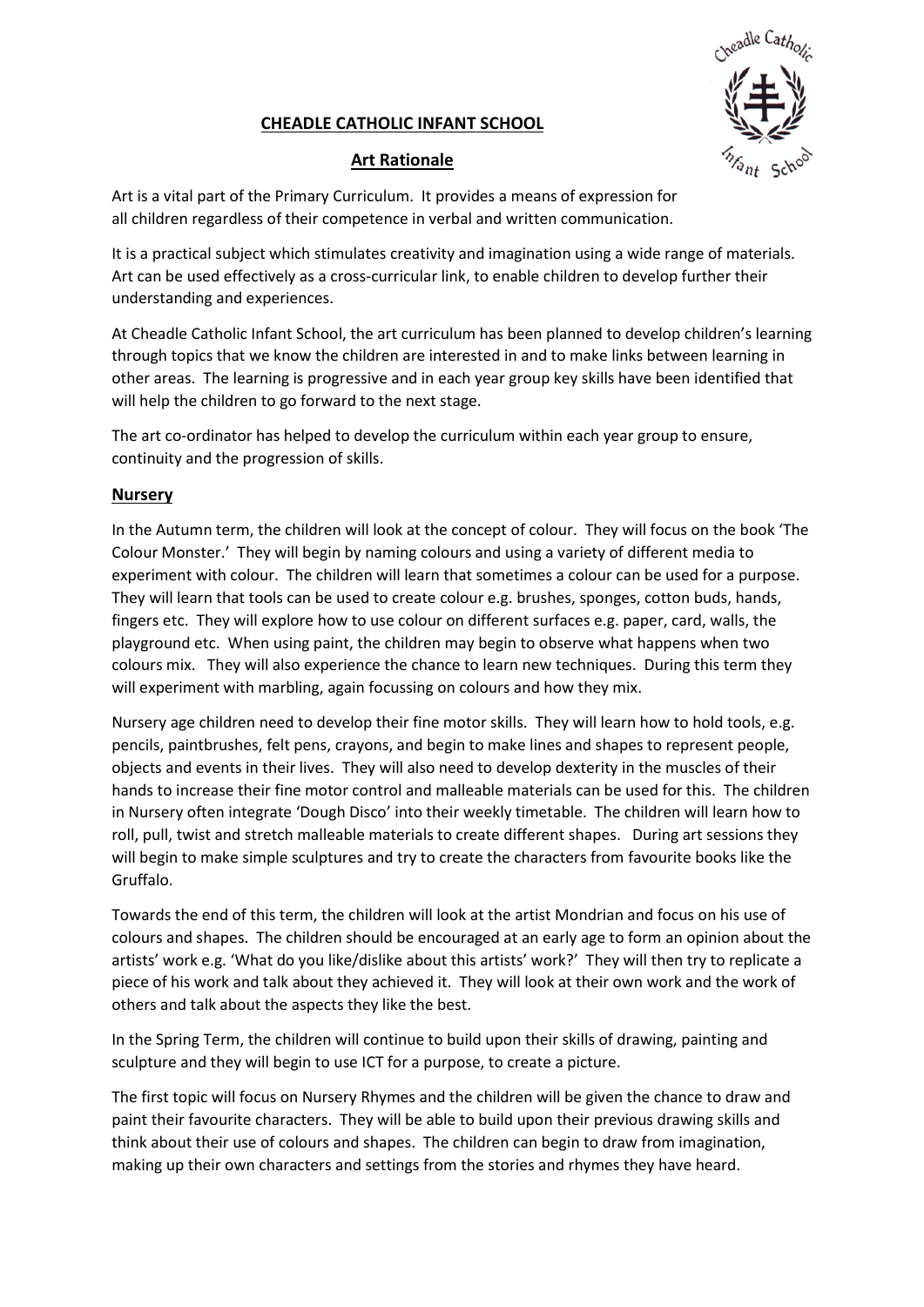# CHEADLE CATHOLIC INFANT SCHOOL



## Art Rationale

Art is a vital part of the Primary Curriculum. It provides a means of expression for all children regardless of their competence in verbal and written communication.

It is a practical subject which stimulates creativity and imagination using a wide range of materials. Art can be used effectively as a cross-curricular link, to enable children to develop further their understanding and experiences.

At Cheadle Catholic Infant School, the art curriculum has been planned to develop children's learning through topics that we know the children are interested in and to make links between learning in other areas. The learning is progressive and in each year group key skills have been identified that will help the children to go forward to the next stage.

The art co-ordinator has helped to develop the curriculum within each year group to ensure, continuity and the progression of skills.

### Nursery

In the Autumn term, the children will look at the concept of colour. They will focus on the book 'The Colour Monster.' They will begin by naming colours and using a variety of different media to experiment with colour. The children will learn that sometimes a colour can be used for a purpose. They will learn that tools can be used to create colour e.g. brushes, sponges, cotton buds, hands, fingers etc. They will explore how to use colour on different surfaces e.g. paper, card, walls, the playground etc. When using paint, the children may begin to observe what happens when two colours mix. They will also experience the chance to learn new techniques. During this term they will experiment with marbling, again focussing on colours and how they mix.

Nursery age children need to develop their fine motor skills. They will learn how to hold tools, e.g. pencils, paintbrushes, felt pens, crayons, and begin to make lines and shapes to represent people, objects and events in their lives. They will also need to develop dexterity in the muscles of their hands to increase their fine motor control and malleable materials can be used for this. The children in Nursery often integrate 'Dough Disco' into their weekly timetable. The children will learn how to roll, pull, twist and stretch malleable materials to create different shapes. During art sessions they will begin to make simple sculptures and try to create the characters from favourite books like the Gruffalo.

Towards the end of this term, the children will look at the artist Mondrian and focus on his use of colours and shapes. The children should be encouraged at an early age to form an opinion about the artists' work e.g. 'What do you like/dislike about this artists' work?' They will then try to replicate a piece of his work and talk about they achieved it. They will look at their own work and the work of others and talk about the aspects they like the best.

In the Spring Term, the children will continue to build upon their skills of drawing, painting and sculpture and they will begin to use ICT for a purpose, to create a picture.

The first topic will focus on Nursery Rhymes and the children will be given the chance to draw and paint their favourite characters. They will be able to build upon their previous drawing skills and think about their use of colours and shapes. The children can begin to draw from imagination, making up their own characters and settings from the stories and rhymes they have heard.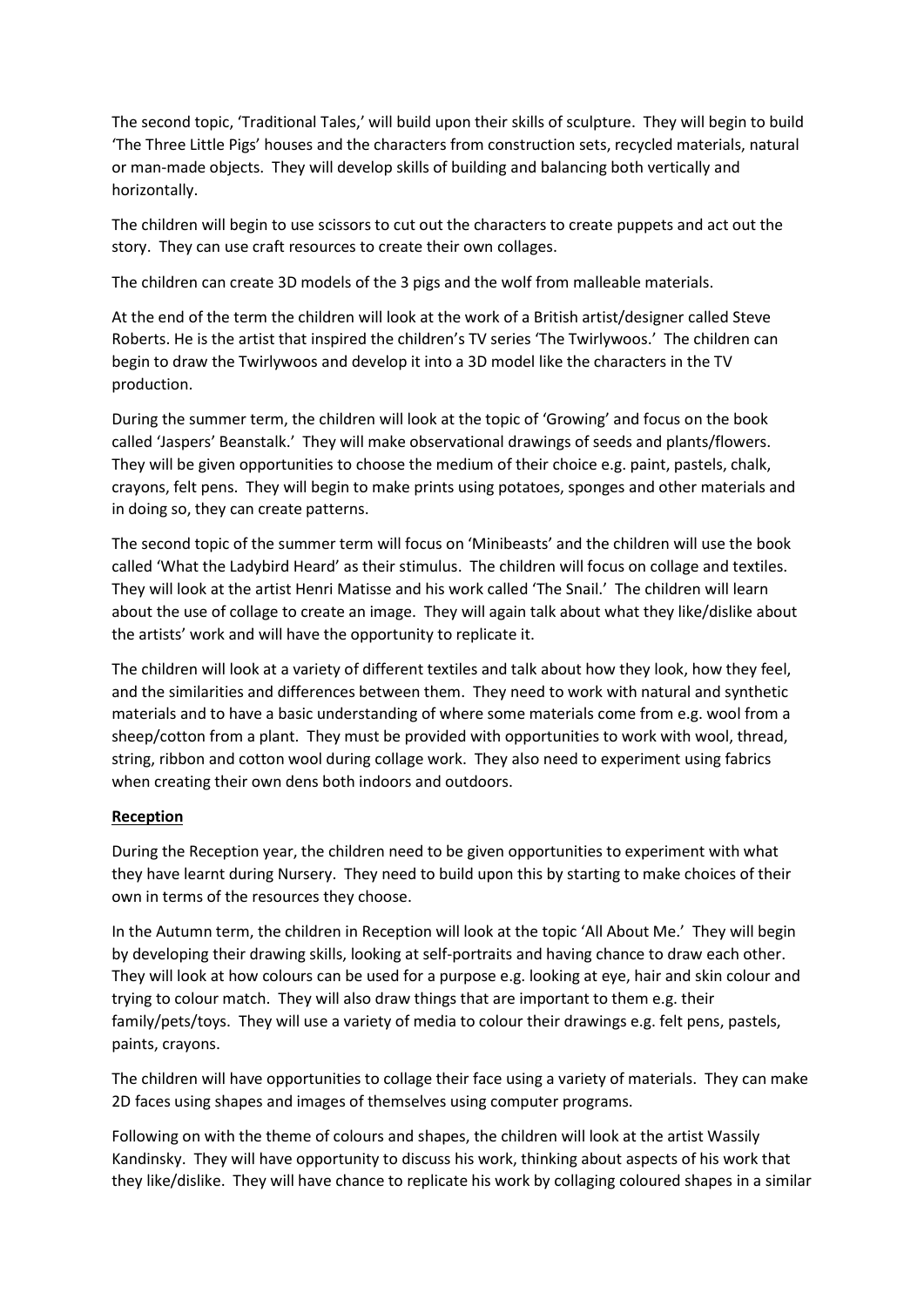The second topic, 'Traditional Tales,' will build upon their skills of sculpture. They will begin to build 'The Three Little Pigs' houses and the characters from construction sets, recycled materials, natural or man-made objects. They will develop skills of building and balancing both vertically and horizontally.

The children will begin to use scissors to cut out the characters to create puppets and act out the story. They can use craft resources to create their own collages.

The children can create 3D models of the 3 pigs and the wolf from malleable materials.

At the end of the term the children will look at the work of a British artist/designer called Steve Roberts. He is the artist that inspired the children's TV series 'The Twirlywoos.' The children can begin to draw the Twirlywoos and develop it into a 3D model like the characters in the TV production.

During the summer term, the children will look at the topic of 'Growing' and focus on the book called 'Jaspers' Beanstalk.' They will make observational drawings of seeds and plants/flowers. They will be given opportunities to choose the medium of their choice e.g. paint, pastels, chalk, crayons, felt pens. They will begin to make prints using potatoes, sponges and other materials and in doing so, they can create patterns.

The second topic of the summer term will focus on 'Minibeasts' and the children will use the book called 'What the Ladybird Heard' as their stimulus. The children will focus on collage and textiles. They will look at the artist Henri Matisse and his work called 'The Snail.' The children will learn about the use of collage to create an image. They will again talk about what they like/dislike about the artists' work and will have the opportunity to replicate it.

The children will look at a variety of different textiles and talk about how they look, how they feel, and the similarities and differences between them. They need to work with natural and synthetic materials and to have a basic understanding of where some materials come from e.g. wool from a sheep/cotton from a plant. They must be provided with opportunities to work with wool, thread, string, ribbon and cotton wool during collage work. They also need to experiment using fabrics when creating their own dens both indoors and outdoors.

### Reception

During the Reception year, the children need to be given opportunities to experiment with what they have learnt during Nursery. They need to build upon this by starting to make choices of their own in terms of the resources they choose.

In the Autumn term, the children in Reception will look at the topic 'All About Me.' They will begin by developing their drawing skills, looking at self-portraits and having chance to draw each other. They will look at how colours can be used for a purpose e.g. looking at eye, hair and skin colour and trying to colour match. They will also draw things that are important to them e.g. their family/pets/toys. They will use a variety of media to colour their drawings e.g. felt pens, pastels, paints, crayons.

The children will have opportunities to collage their face using a variety of materials. They can make 2D faces using shapes and images of themselves using computer programs.

Following on with the theme of colours and shapes, the children will look at the artist Wassily Kandinsky. They will have opportunity to discuss his work, thinking about aspects of his work that they like/dislike. They will have chance to replicate his work by collaging coloured shapes in a similar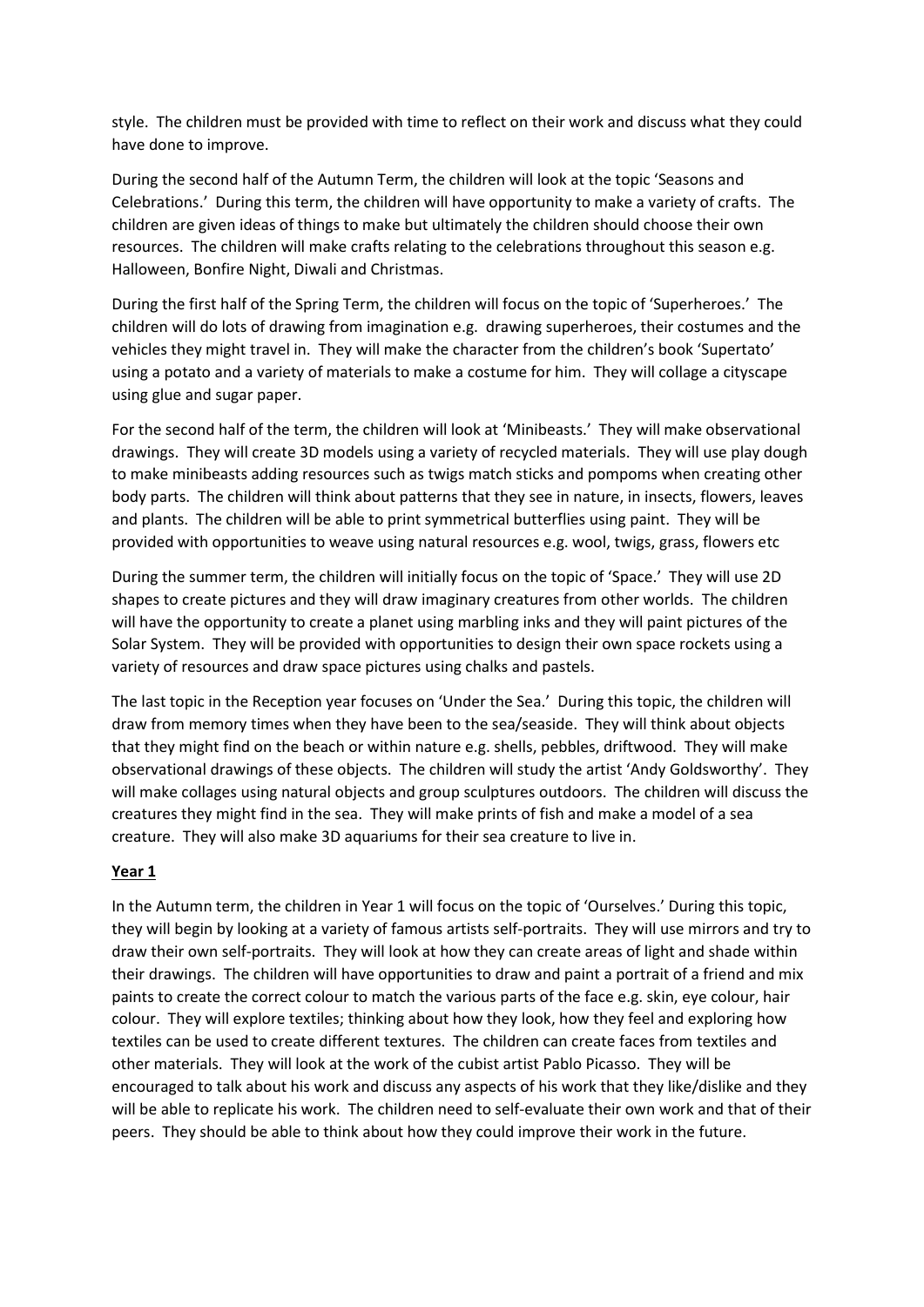style. The children must be provided with time to reflect on their work and discuss what they could have done to improve.

During the second half of the Autumn Term, the children will look at the topic 'Seasons and Celebrations.' During this term, the children will have opportunity to make a variety of crafts. The children are given ideas of things to make but ultimately the children should choose their own resources. The children will make crafts relating to the celebrations throughout this season e.g. Halloween, Bonfire Night, Diwali and Christmas.

During the first half of the Spring Term, the children will focus on the topic of 'Superheroes.' The children will do lots of drawing from imagination e.g. drawing superheroes, their costumes and the vehicles they might travel in. They will make the character from the children's book 'Supertato' using a potato and a variety of materials to make a costume for him. They will collage a cityscape using glue and sugar paper.

For the second half of the term, the children will look at 'Minibeasts.' They will make observational drawings. They will create 3D models using a variety of recycled materials. They will use play dough to make minibeasts adding resources such as twigs match sticks and pompoms when creating other body parts. The children will think about patterns that they see in nature, in insects, flowers, leaves and plants. The children will be able to print symmetrical butterflies using paint. They will be provided with opportunities to weave using natural resources e.g. wool, twigs, grass, flowers etc

During the summer term, the children will initially focus on the topic of 'Space.' They will use 2D shapes to create pictures and they will draw imaginary creatures from other worlds. The children will have the opportunity to create a planet using marbling inks and they will paint pictures of the Solar System. They will be provided with opportunities to design their own space rockets using a variety of resources and draw space pictures using chalks and pastels.

The last topic in the Reception year focuses on 'Under the Sea.' During this topic, the children will draw from memory times when they have been to the sea/seaside. They will think about objects that they might find on the beach or within nature e.g. shells, pebbles, driftwood. They will make observational drawings of these objects. The children will study the artist 'Andy Goldsworthy'. They will make collages using natural objects and group sculptures outdoors. The children will discuss the creatures they might find in the sea. They will make prints of fish and make a model of a sea creature. They will also make 3D aquariums for their sea creature to live in.

### Year 1

In the Autumn term, the children in Year 1 will focus on the topic of 'Ourselves.' During this topic, they will begin by looking at a variety of famous artists self-portraits. They will use mirrors and try to draw their own self-portraits. They will look at how they can create areas of light and shade within their drawings. The children will have opportunities to draw and paint a portrait of a friend and mix paints to create the correct colour to match the various parts of the face e.g. skin, eye colour, hair colour. They will explore textiles; thinking about how they look, how they feel and exploring how textiles can be used to create different textures. The children can create faces from textiles and other materials. They will look at the work of the cubist artist Pablo Picasso. They will be encouraged to talk about his work and discuss any aspects of his work that they like/dislike and they will be able to replicate his work. The children need to self-evaluate their own work and that of their peers. They should be able to think about how they could improve their work in the future.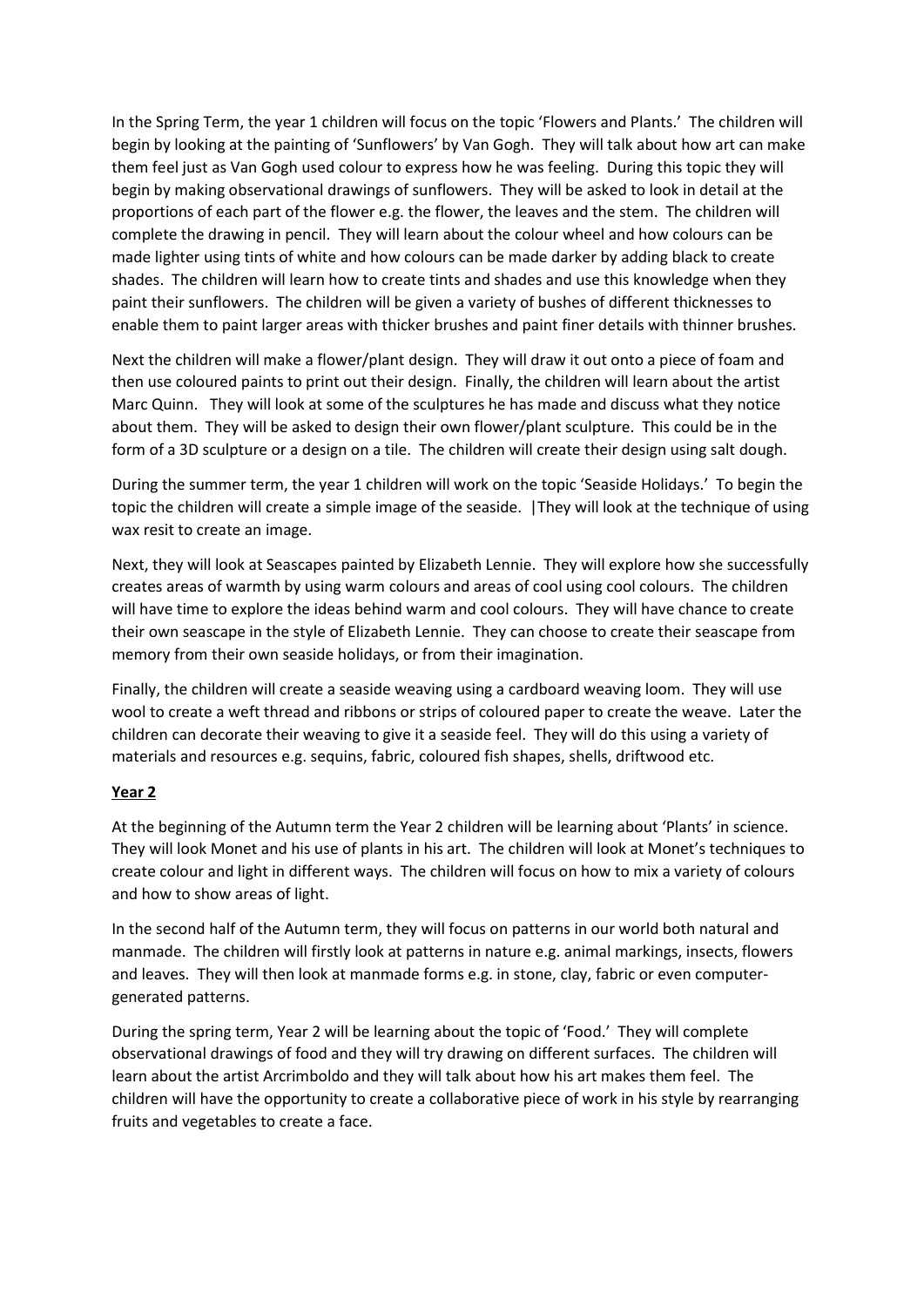In the Spring Term, the year 1 children will focus on the topic 'Flowers and Plants.' The children will begin by looking at the painting of 'Sunflowers' by Van Gogh. They will talk about how art can make them feel just as Van Gogh used colour to express how he was feeling. During this topic they will begin by making observational drawings of sunflowers. They will be asked to look in detail at the proportions of each part of the flower e.g. the flower, the leaves and the stem. The children will complete the drawing in pencil. They will learn about the colour wheel and how colours can be made lighter using tints of white and how colours can be made darker by adding black to create shades. The children will learn how to create tints and shades and use this knowledge when they paint their sunflowers. The children will be given a variety of bushes of different thicknesses to enable them to paint larger areas with thicker brushes and paint finer details with thinner brushes.

Next the children will make a flower/plant design. They will draw it out onto a piece of foam and then use coloured paints to print out their design. Finally, the children will learn about the artist Marc Quinn. They will look at some of the sculptures he has made and discuss what they notice about them. They will be asked to design their own flower/plant sculpture. This could be in the form of a 3D sculpture or a design on a tile. The children will create their design using salt dough.

During the summer term, the year 1 children will work on the topic 'Seaside Holidays.' To begin the topic the children will create a simple image of the seaside. |They will look at the technique of using wax resit to create an image.

Next, they will look at Seascapes painted by Elizabeth Lennie. They will explore how she successfully creates areas of warmth by using warm colours and areas of cool using cool colours. The children will have time to explore the ideas behind warm and cool colours. They will have chance to create their own seascape in the style of Elizabeth Lennie. They can choose to create their seascape from memory from their own seaside holidays, or from their imagination.

Finally, the children will create a seaside weaving using a cardboard weaving loom. They will use wool to create a weft thread and ribbons or strips of coloured paper to create the weave. Later the children can decorate their weaving to give it a seaside feel. They will do this using a variety of materials and resources e.g. sequins, fabric, coloured fish shapes, shells, driftwood etc.

#### Year 2

At the beginning of the Autumn term the Year 2 children will be learning about 'Plants' in science. They will look Monet and his use of plants in his art. The children will look at Monet's techniques to create colour and light in different ways. The children will focus on how to mix a variety of colours and how to show areas of light.

In the second half of the Autumn term, they will focus on patterns in our world both natural and manmade. The children will firstly look at patterns in nature e.g. animal markings, insects, flowers and leaves. They will then look at manmade forms e.g. in stone, clay, fabric or even computergenerated patterns.

During the spring term, Year 2 will be learning about the topic of 'Food.' They will complete observational drawings of food and they will try drawing on different surfaces. The children will learn about the artist Arcrimboldo and they will talk about how his art makes them feel. The children will have the opportunity to create a collaborative piece of work in his style by rearranging fruits and vegetables to create a face.